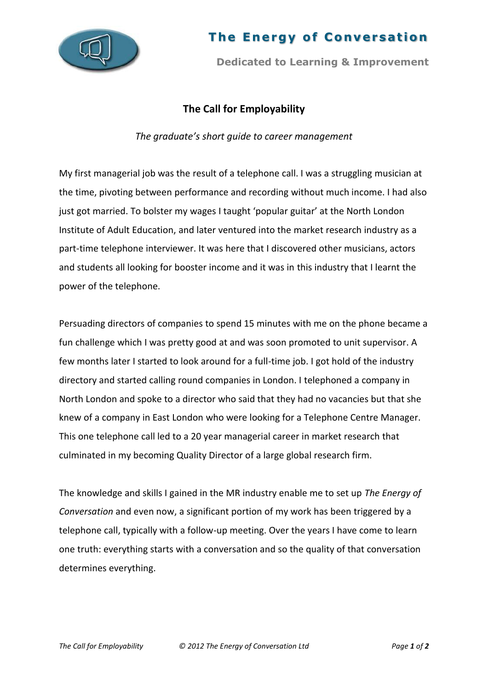

## **The Energy of Conversation**

**Dedicated to Learning & Improvement**

## **The Call for Employability**

*The graduate's short guide to career management*

My first managerial job was the result of a telephone call. I was a struggling musician at the time, pivoting between performance and recording without much income. I had also just got married. To bolster my wages I taught 'popular guitar' at the North London Institute of Adult Education, and later ventured into the market research industry as a part-time telephone interviewer. It was here that I discovered other musicians, actors and students all looking for booster income and it was in this industry that I learnt the power of the telephone.

Persuading directors of companies to spend 15 minutes with me on the phone became a fun challenge which I was pretty good at and was soon promoted to unit supervisor. A few months later I started to look around for a full-time job. I got hold of the industry directory and started calling round companies in London. I telephoned a company in North London and spoke to a director who said that they had no vacancies but that she knew of a company in East London who were looking for a Telephone Centre Manager. This one telephone call led to a 20 year managerial career in market research that culminated in my becoming Quality Director of a large global research firm.

The knowledge and skills I gained in the MR industry enable me to set up *The Energy of Conversation* and even now, a significant portion of my work has been triggered by a telephone call, typically with a follow-up meeting. Over the years I have come to learn one truth: everything starts with a conversation and so the quality of that conversation determines everything.